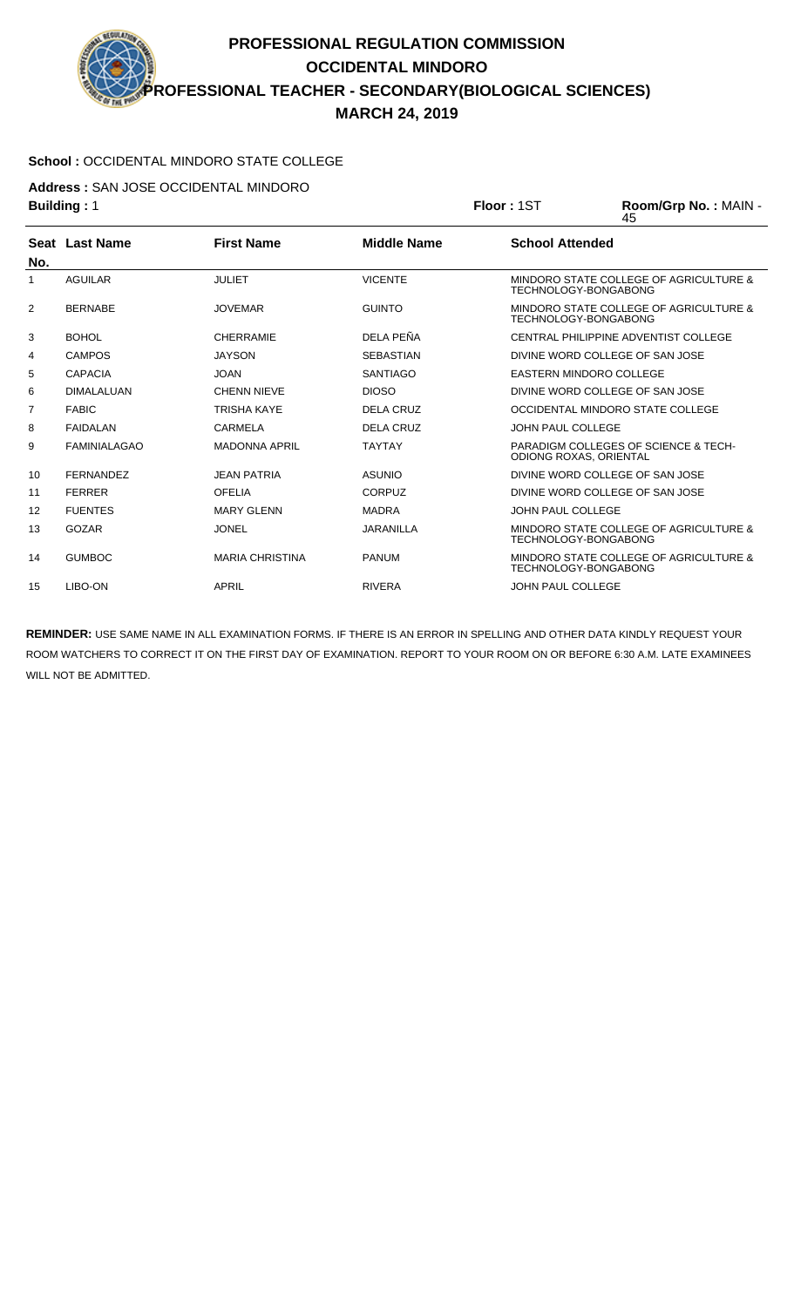## **PROFESSIONAL REGULATION COMMISSION OCCIDENTAL MINDORO PROFESSIONAL TEACHER - SECONDARY(BIOLOGICAL SCIENCES) MARCH 24, 2019**

## **School :** OCCIDENTAL MINDORO STATE COLLEGE

**Address :** SAN JOSE OCCIDENTAL MINDORO

|     | <b>Building: 1</b>  |                        | Floor: 1ST         | Room/Grp No.: MAIN -<br>45    |                                                 |
|-----|---------------------|------------------------|--------------------|-------------------------------|-------------------------------------------------|
| No. | Seat Last Name      | <b>First Name</b>      | <b>Middle Name</b> | <b>School Attended</b>        |                                                 |
| 1   | <b>AGUILAR</b>      | <b>JULIET</b>          | <b>VICENTE</b>     | TECHNOLOGY-BONGABONG          | MINDORO STATE COLLEGE OF AGRICULTURE &          |
| 2   | <b>BERNABE</b>      | <b>JOVEMAR</b>         | <b>GUINTO</b>      | TECHNOLOGY-BONGABONG          | MINDORO STATE COLLEGE OF AGRICULTURE &          |
| 3   | <b>BOHOL</b>        | <b>CHERRAMIE</b>       | DELA PEÑA          |                               | CENTRAL PHILIPPINE ADVENTIST COLLEGE            |
| 4   | <b>CAMPOS</b>       | <b>JAYSON</b>          | <b>SEBASTIAN</b>   |                               | DIVINE WORD COLLEGE OF SAN JOSE                 |
| 5   | <b>CAPACIA</b>      | <b>JOAN</b>            | <b>SANTIAGO</b>    |                               | <b>EASTERN MINDORO COLLEGE</b>                  |
| 6   | <b>DIMALALUAN</b>   | <b>CHENN NIEVE</b>     | <b>DIOSO</b>       |                               | DIVINE WORD COLLEGE OF SAN JOSE                 |
| 7   | <b>FABIC</b>        | TRISHA KAYE            | DELA CRUZ          |                               | OCCIDENTAL MINDORO STATE COLLEGE                |
| 8   | <b>FAIDALAN</b>     | <b>CARMELA</b>         | <b>DELA CRUZ</b>   | <b>JOHN PAUL COLLEGE</b>      |                                                 |
| 9   | <b>FAMINIALAGAO</b> | <b>MADONNA APRIL</b>   | <b>TAYTAY</b>      | <b>ODIONG ROXAS, ORIENTAL</b> | <b>PARADIGM COLLEGES OF SCIENCE &amp; TECH-</b> |
| 10  | <b>FERNANDEZ</b>    | <b>JEAN PATRIA</b>     | <b>ASUNIO</b>      |                               | DIVINE WORD COLLEGE OF SAN JOSE                 |
| 11  | <b>FERRER</b>       | <b>OFELIA</b>          | CORPUZ             |                               | DIVINE WORD COLLEGE OF SAN JOSE                 |
| 12  | <b>FUENTES</b>      | <b>MARY GLENN</b>      | <b>MADRA</b>       | <b>JOHN PAUL COLLEGE</b>      |                                                 |
| 13  | GOZAR               | <b>JONEL</b>           | JARANILLA          | TECHNOLOGY-BONGABONG          | MINDORO STATE COLLEGE OF AGRICULTURE &          |
| 14  | <b>GUMBOC</b>       | <b>MARIA CHRISTINA</b> | <b>PANUM</b>       | TECHNOLOGY-BONGABONG          | MINDORO STATE COLLEGE OF AGRICULTURE &          |
| 15  | LIBO-ON             | <b>APRIL</b>           | <b>RIVERA</b>      | <b>JOHN PAUL COLLEGE</b>      |                                                 |

**REMINDER:** USE SAME NAME IN ALL EXAMINATION FORMS. IF THERE IS AN ERROR IN SPELLING AND OTHER DATA KINDLY REQUEST YOUR ROOM WATCHERS TO CORRECT IT ON THE FIRST DAY OF EXAMINATION. REPORT TO YOUR ROOM ON OR BEFORE 6:30 A.M. LATE EXAMINEES WILL NOT BE ADMITTED.